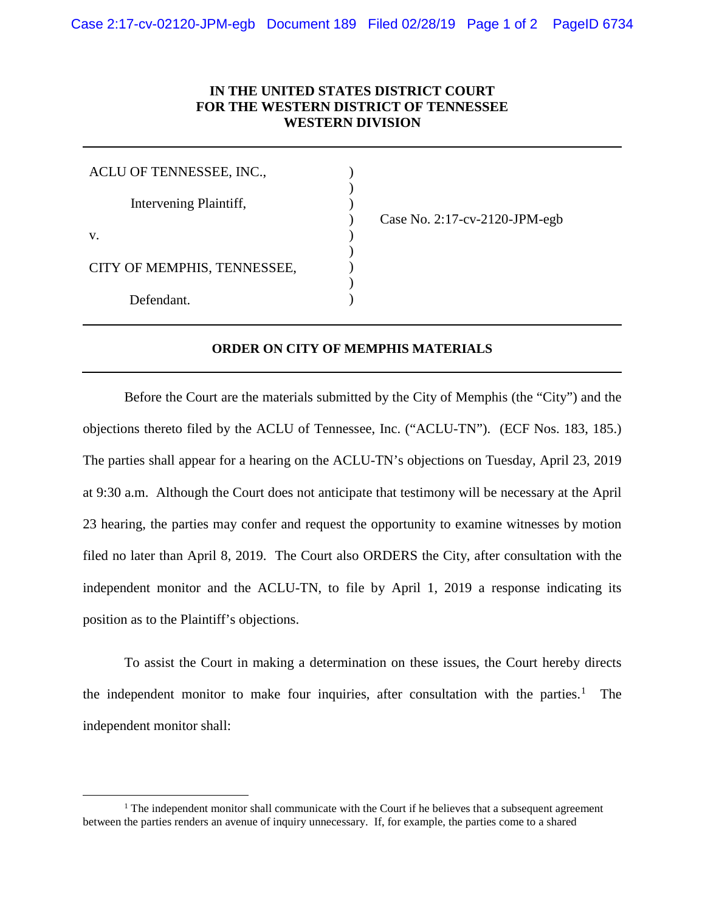## **IN THE UNITED STATES DISTRICT COURT FOR THE WESTERN DISTRICT OF TENNESSEE WESTERN DIVISION**

) ) )

) ) ) )

| ACLU OF TENNESSEE, INC.,    |  |
|-----------------------------|--|
| Intervening Plaintiff,      |  |
| $V_{\cdot}$                 |  |
| CITY OF MEMPHIS, TENNESSEE, |  |
| Defendant.                  |  |

) Case No. 2:17-cv-2120-JPM-egb

## **ORDER ON CITY OF MEMPHIS MATERIALS**

Before the Court are the materials submitted by the City of Memphis (the "City") and the objections thereto filed by the ACLU of Tennessee, Inc. ("ACLU-TN"). (ECF Nos. 183, 185.) The parties shall appear for a hearing on the ACLU-TN's objections on Tuesday, April 23, 2019 at 9:30 a.m. Although the Court does not anticipate that testimony will be necessary at the April 23 hearing, the parties may confer and request the opportunity to examine witnesses by motion filed no later than April 8, 2019. The Court also ORDERS the City, after consultation with the independent monitor and the ACLU-TN, to file by April 1, 2019 a response indicating its position as to the Plaintiff's objections.

To assist the Court in making a determination on these issues, the Court hereby directs the independent monitor to make four inquiries, after consultation with the parties. [1](#page-0-0) The independent monitor shall:

<span id="page-0-0"></span> $<sup>1</sup>$  The independent monitor shall communicate with the Court if he believes that a subsequent agreement</sup> between the parties renders an avenue of inquiry unnecessary. If, for example, the parties come to a shared